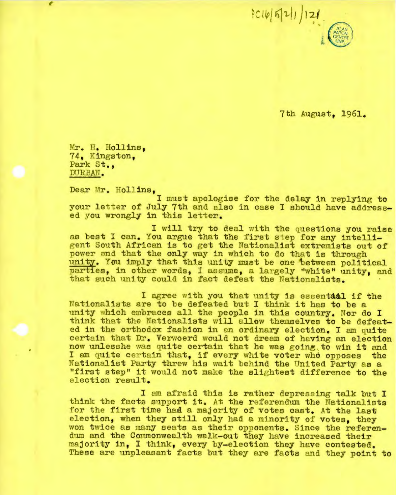

7th August, 1961.

Mr. H. Hollins. 74, Kingston, Park St., DURBAN.

Dear Mr. Hollins,

I must apologise for the delay in replying to your letter of July 7th and also in case I should have addressed you wrongly in this letter.

I will try to deal with the questions you raise as best I can. You argue that the first step for any intelligent South African is to get the Nationalist extremists out of power and that the only way in which to do that is through unity. You imply that this unity must be one between political parties, in other words, I assume, a largely "white" unity, and that such unity could in fact defeat the Nationalists.

I agree with you that unity is essential if the Nationalists are to be defeated but I think it has to be a unity which embraces all the people in this country. Nor do I think that the Nationalists will allow themselves to be defeated in the orthodox fashion in an ordinary election. I am quite certain that Dr. Verwoerd would not dream of having an election now unlesshe was quite certain that he was going to win it and I am quite certain that, if every white voter who opposes the Nationalist Party threw his wait behind the United Party as a "first step" it would not make the slightest difference to the election result.

I am afraid this is rather depressing talk but I think the facts support it. At the referendum the Nationalists for the first time had a majority of votes cast. At the last election, when they still only had a minority of votes, they won twice as many seats as their opponents. Since the referendum and the Commonwealth walk-out they have increased their majority in, I think, every by-election they have contested. These are unpleasant facts but they are facts and they point to